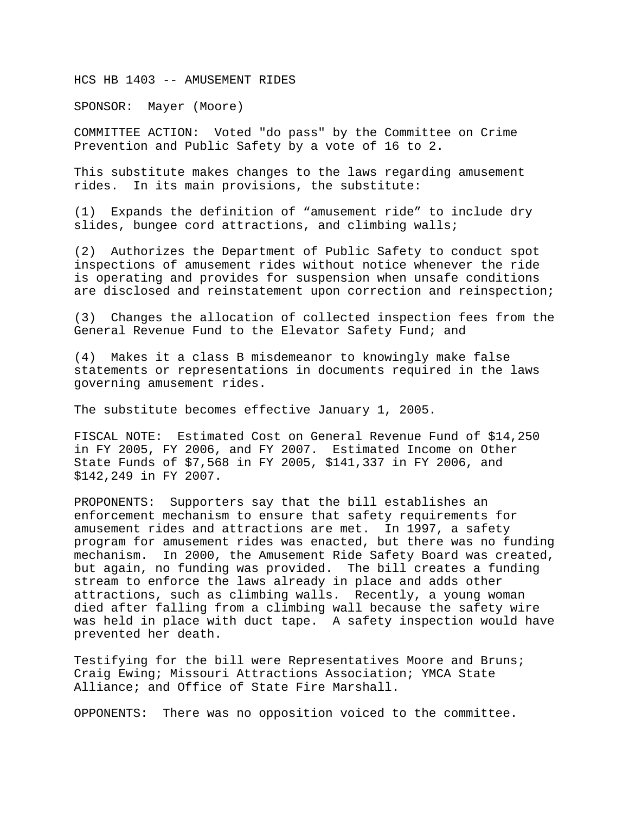HCS HB 1403 -- AMUSEMENT RIDES

SPONSOR: Mayer (Moore)

COMMITTEE ACTION: Voted "do pass" by the Committee on Crime Prevention and Public Safety by a vote of 16 to 2.

This substitute makes changes to the laws regarding amusement rides. In its main provisions, the substitute:

(1) Expands the definition of "amusement ride" to include dry slides, bungee cord attractions, and climbing walls;

(2) Authorizes the Department of Public Safety to conduct spot inspections of amusement rides without notice whenever the ride is operating and provides for suspension when unsafe conditions are disclosed and reinstatement upon correction and reinspection;

(3) Changes the allocation of collected inspection fees from the General Revenue Fund to the Elevator Safety Fund; and

(4) Makes it a class B misdemeanor to knowingly make false statements or representations in documents required in the laws governing amusement rides.

The substitute becomes effective January 1, 2005.

FISCAL NOTE: Estimated Cost on General Revenue Fund of \$14,250 in FY 2005, FY 2006, and FY 2007. Estimated Income on Other State Funds of \$7,568 in FY 2005, \$141,337 in FY 2006, and \$142,249 in FY 2007.

PROPONENTS: Supporters say that the bill establishes an enforcement mechanism to ensure that safety requirements for amusement rides and attractions are met. In 1997, a safety program for amusement rides was enacted, but there was no funding mechanism. In 2000, the Amusement Ride Safety Board was created, but again, no funding was provided. The bill creates a funding stream to enforce the laws already in place and adds other attractions, such as climbing walls. Recently, a young woman died after falling from a climbing wall because the safety wire was held in place with duct tape. A safety inspection would have prevented her death.

Testifying for the bill were Representatives Moore and Bruns; Craig Ewing; Missouri Attractions Association; YMCA State Alliance; and Office of State Fire Marshall.

OPPONENTS: There was no opposition voiced to the committee.